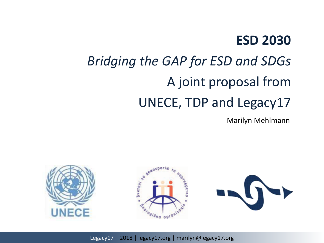#### **ESD 2030**

# *Bridging the GAP for ESD and SDGs* A joint proposal from UNECE, TDP and Legacy17

Marilyn Mehlmann

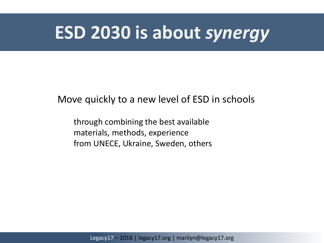### **ESD 2030 is about** *synergy*

#### Move quickly to a new level of ESD in schools

through combining the best available materials, methods, experience from UNECE, Ukraine, Sweden, others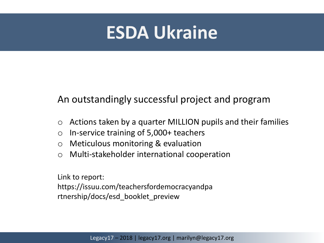## **ESDA Ukraine**

#### An outstandingly successful project and program

- $\circ$  Actions taken by a quarter MILLION pupils and their families
- o In-service training of 5,000+ teachers
- o Meticulous monitoring & evaluation
- o Multi-stakeholder international cooperation

Link to report:

https://issuu.com/teachersfordemocracyandpa rtnership/docs/esd\_booklet\_preview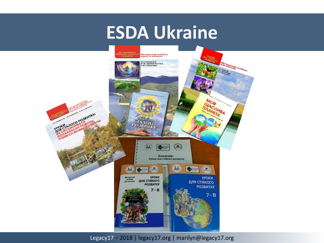## **ESDA Ukraine**

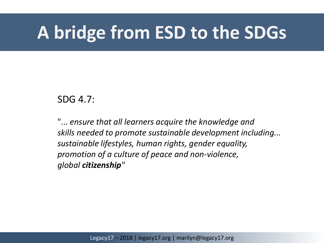# **A bridge from ESD to the SDGs**

#### SDG 4.7:

"... *ensure that all learners acquire the knowledge and skills needed to promote sustainable development including... sustainable lifestyles, human rights, gender equality, promotion of a culture of peace and non-violence, global citizenship"*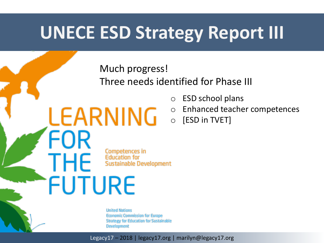## **UNECE ESD Strategy Report III**

Much progress!

LEARNING

FOR

**THE** 

**FUTURE** 

Three needs identified for Phase III

- o ESD school plans
- Enhanced teacher competences
- o [ESD in TVET]

Competences in **Education for Sustainable Development** 

**United Nations Economic Commission for Europe Strategy for Education for Sustainable Development**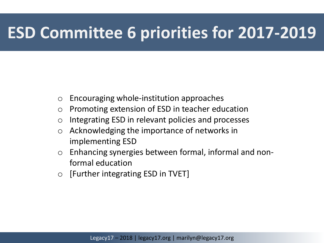### **ESD Committee 6 priorities for 2017-2019**

- o Encouraging whole-institution approaches
- o Promoting extension of ESD in teacher education
- o Integrating ESD in relevant policies and processes
- o Acknowledging the importance of networks in implementing ESD
- o Enhancing synergies between formal, informal and nonformal education
- o [Further integrating ESD in TVET]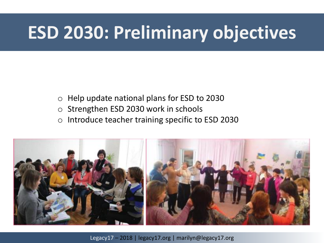# **ESD 2030: Preliminary objectives**

- o Help update national plans for ESD to 2030
- o Strengthen ESD 2030 work in schools
- o Introduce teacher training specific to ESD 2030

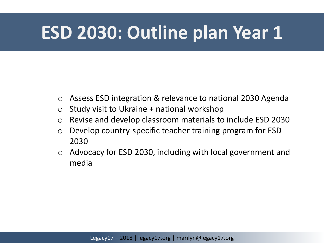# **ESD 2030: Outline plan Year 1**

- o Assess ESD integration & relevance to national 2030 Agenda
- $\circ$  Study visit to Ukraine + national workshop
- o Revise and develop classroom materials to include ESD 2030
- o Develop country-specific teacher training program for ESD 2030
- o Advocacy for ESD 2030, including with local government and media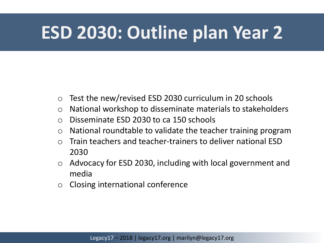# **ESD 2030: Outline plan Year 2**

- o Test the new/revised ESD 2030 curriculum in 20 schools
- o National workshop to disseminate materials to stakeholders
- o Disseminate ESD 2030 to ca 150 schools
- $\circ$  National roundtable to validate the teacher training program
- $\circ$  Train teachers and teacher-trainers to deliver national FSD 2030
- o Advocacy for ESD 2030, including with local government and media
- o Closing international conference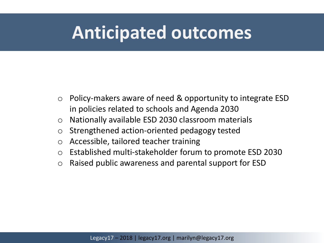## **Anticipated outcomes**

- o Policy-makers aware of need & opportunity to integrate ESD in policies related to schools and Agenda 2030
- o Nationally available ESD 2030 classroom materials
- o Strengthened action-oriented pedagogy tested
- o Accessible, tailored teacher training
- o Established multi-stakeholder forum to promote ESD 2030
- o Raised public awareness and parental support for ESD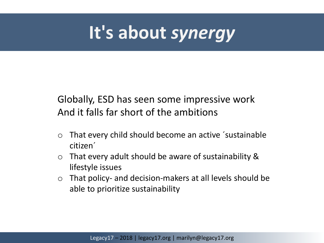# **It's about** *synergy*

Globally, ESD has seen some impressive work And it falls far short of the ambitions

- o That every child should become an active ´sustainable citizen´
- o That every adult should be aware of sustainability & lifestyle issues
- o That policy- and decision-makers at all levels should be able to prioritize sustainability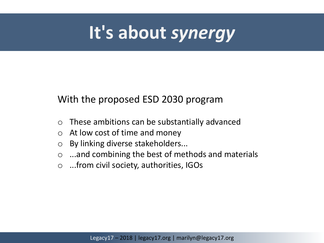# **It's about** *synergy*

#### With the proposed ESD 2030 program

- o These ambitions can be substantially advanced
- $\circ$  At low cost of time and money
- o By linking diverse stakeholders...
- o ...and combining the best of methods and materials
- o ...from civil society, authorities, IGOs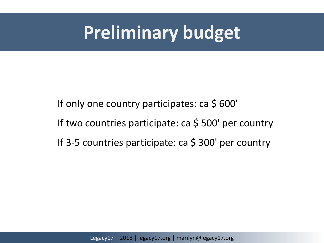## **Preliminary budget**

If only one country participates: ca \$ 600' If two countries participate: ca \$500' per country If 3-5 countries participate: ca \$ 300' per country